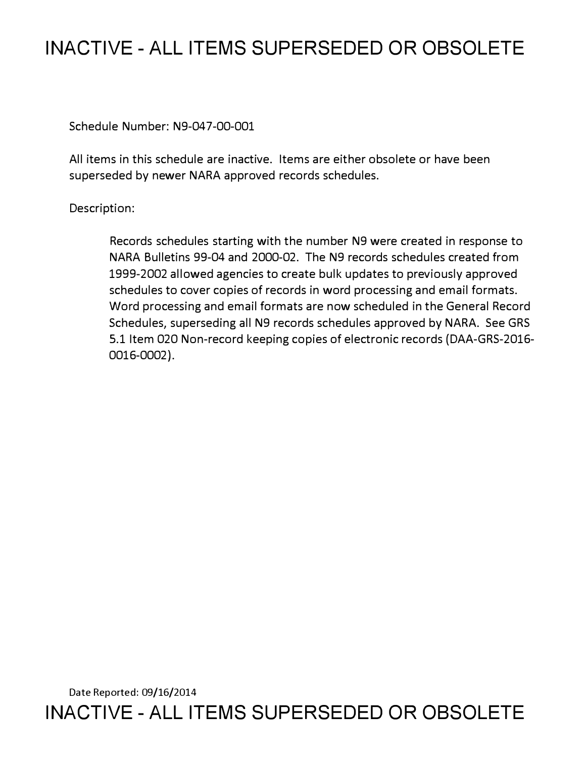## **INACTIVE - ALL ITEMS SUPERSEDED OR OBSOLETE**

Schedule Number: N9-047-00-001

All items in this schedule are inactive. Items are either obsolete or have been superseded by newer NARA approved records schedules.

Description:

Records schedules starting with the number N9 were created in response to NARA Bulletins 99-04 and 2000-02. The N9 records schedules created from 1999-2002 allowed agencies to create bulk updates to previously approved schedules to cover copies of records in word processing and email formats. Word processing and email formats are now scheduled in the General Record Schedules, superseding all N9 records schedules approved by NARA. See GRS 5.1 Item 020 Non-record keeping copies of electronic records (DAA-GRS-2016- 0016-0002).

Date Reported: 09/16/2014 **INACTIVE - ALL ITEMS SUPERSEDED OR OBSOLETE**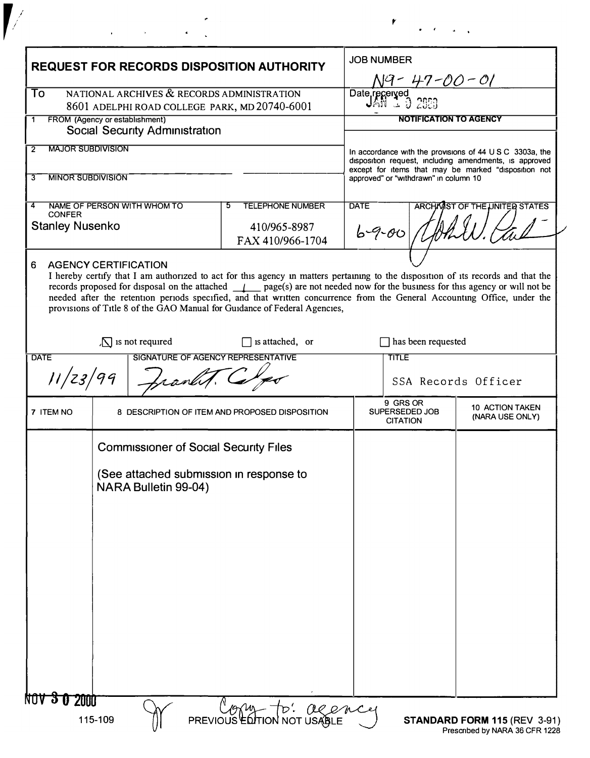| <b>REQUEST FOR RECORDS DISPOSITION AUTHORITY</b>                                                                                                   |                                                                 | <b>JOB NUMBER</b><br><u> 19 - 47 -00 - 01</u>                                                                                                                                                                                                                                                                                           |                                                                                                                                |                |                                                      |
|----------------------------------------------------------------------------------------------------------------------------------------------------|-----------------------------------------------------------------|-----------------------------------------------------------------------------------------------------------------------------------------------------------------------------------------------------------------------------------------------------------------------------------------------------------------------------------------|--------------------------------------------------------------------------------------------------------------------------------|----------------|------------------------------------------------------|
| To<br>NATIONAL ARCHIVES & RECORDS ADMINISTRATION<br>8601 ADELPHI ROAD COLLEGE PARK, MD 20740-6001<br>FROM (Agency or establishment)<br>$\mathbf 1$ |                                                                 |                                                                                                                                                                                                                                                                                                                                         | Date received<br>UAN 1 3 2020                                                                                                  |                |                                                      |
|                                                                                                                                                    |                                                                 |                                                                                                                                                                                                                                                                                                                                         | <b>NOTIFICATION TO AGENCY</b>                                                                                                  |                |                                                      |
|                                                                                                                                                    | Social Security Administration                                  |                                                                                                                                                                                                                                                                                                                                         |                                                                                                                                |                |                                                      |
| <b>MAJOR SUBDIVISION</b><br>$\overline{2}$                                                                                                         |                                                                 |                                                                                                                                                                                                                                                                                                                                         | In accordance with the provisions of $44 \cup S \subset 3303a$ , the<br>disposition request, including amendments, is approved |                |                                                      |
| 3                                                                                                                                                  | <b>MINOR SUBDIVISION</b>                                        |                                                                                                                                                                                                                                                                                                                                         |                                                                                                                                |                | except for items that may be marked "disposition not |
|                                                                                                                                                    |                                                                 |                                                                                                                                                                                                                                                                                                                                         | approved" or "withdrawn" in column 10                                                                                          |                |                                                      |
| NAME OF PERSON WITH WHOM TO<br>4<br><b>CONFER</b>                                                                                                  |                                                                 | <b>TELEPHONE NUMBER</b><br>5.                                                                                                                                                                                                                                                                                                           | <b>DATE</b><br><b>ARCHAMST OF THE UNITED STATES</b>                                                                            |                |                                                      |
| <b>Stanley Nusenko</b>                                                                                                                             |                                                                 | 410/965-8987<br>FAX 410/966-1704                                                                                                                                                                                                                                                                                                        |                                                                                                                                | $6 - 9 - 00$   |                                                      |
| 6                                                                                                                                                  | <b>AGENCY CERTIFICATION</b>                                     |                                                                                                                                                                                                                                                                                                                                         |                                                                                                                                |                |                                                      |
|                                                                                                                                                    |                                                                 | records proposed for disposal on the attached $\mu$ page(s) are not needed now for the business for this agency or will not be<br>needed after the retention periods specified, and that written concurrence from the General Accounting Office, under the<br>provisions of Title 8 of the GAO Manual for Guidance of Federal Agencies, |                                                                                                                                |                |                                                      |
| $\sqrt{\ }$ is not required                                                                                                                        |                                                                 | $\Box$ is attached, or                                                                                                                                                                                                                                                                                                                  | $\Box$ has been requested                                                                                                      |                |                                                      |
| SIGNATURE OF AGENCY REPRESENTATIVE<br><b>DATE</b>                                                                                                  |                                                                 |                                                                                                                                                                                                                                                                                                                                         | <b>TITLE</b>                                                                                                                   |                |                                                      |
| 11/23/99                                                                                                                                           |                                                                 |                                                                                                                                                                                                                                                                                                                                         |                                                                                                                                |                | SSA Records Officer                                  |
| 7 ITEM NO                                                                                                                                          | 8 DESCRIPTION OF ITEM AND PROPOSED DISPOSITION                  |                                                                                                                                                                                                                                                                                                                                         | 9 GRS OR<br><b>CITATION</b>                                                                                                    | SUPERSEDED JOB | <b>10 ACTION TAKEN</b><br>(NARA USE ONLY)            |
|                                                                                                                                                    | <b>Commissioner of Social Security Files</b>                    |                                                                                                                                                                                                                                                                                                                                         |                                                                                                                                |                |                                                      |
|                                                                                                                                                    |                                                                 |                                                                                                                                                                                                                                                                                                                                         |                                                                                                                                |                |                                                      |
|                                                                                                                                                    |                                                                 |                                                                                                                                                                                                                                                                                                                                         |                                                                                                                                |                |                                                      |
|                                                                                                                                                    | (See attached submission in response to<br>NARA Bulletin 99-04) |                                                                                                                                                                                                                                                                                                                                         |                                                                                                                                |                |                                                      |
|                                                                                                                                                    |                                                                 |                                                                                                                                                                                                                                                                                                                                         |                                                                                                                                |                |                                                      |
|                                                                                                                                                    |                                                                 |                                                                                                                                                                                                                                                                                                                                         |                                                                                                                                |                |                                                      |
|                                                                                                                                                    |                                                                 |                                                                                                                                                                                                                                                                                                                                         |                                                                                                                                |                |                                                      |
|                                                                                                                                                    |                                                                 |                                                                                                                                                                                                                                                                                                                                         |                                                                                                                                |                |                                                      |
|                                                                                                                                                    |                                                                 |                                                                                                                                                                                                                                                                                                                                         |                                                                                                                                |                |                                                      |
|                                                                                                                                                    |                                                                 |                                                                                                                                                                                                                                                                                                                                         |                                                                                                                                |                |                                                      |
|                                                                                                                                                    |                                                                 |                                                                                                                                                                                                                                                                                                                                         |                                                                                                                                |                |                                                      |
|                                                                                                                                                    |                                                                 |                                                                                                                                                                                                                                                                                                                                         |                                                                                                                                |                |                                                      |
|                                                                                                                                                    |                                                                 |                                                                                                                                                                                                                                                                                                                                         |                                                                                                                                |                |                                                      |
|                                                                                                                                                    |                                                                 |                                                                                                                                                                                                                                                                                                                                         |                                                                                                                                |                |                                                      |